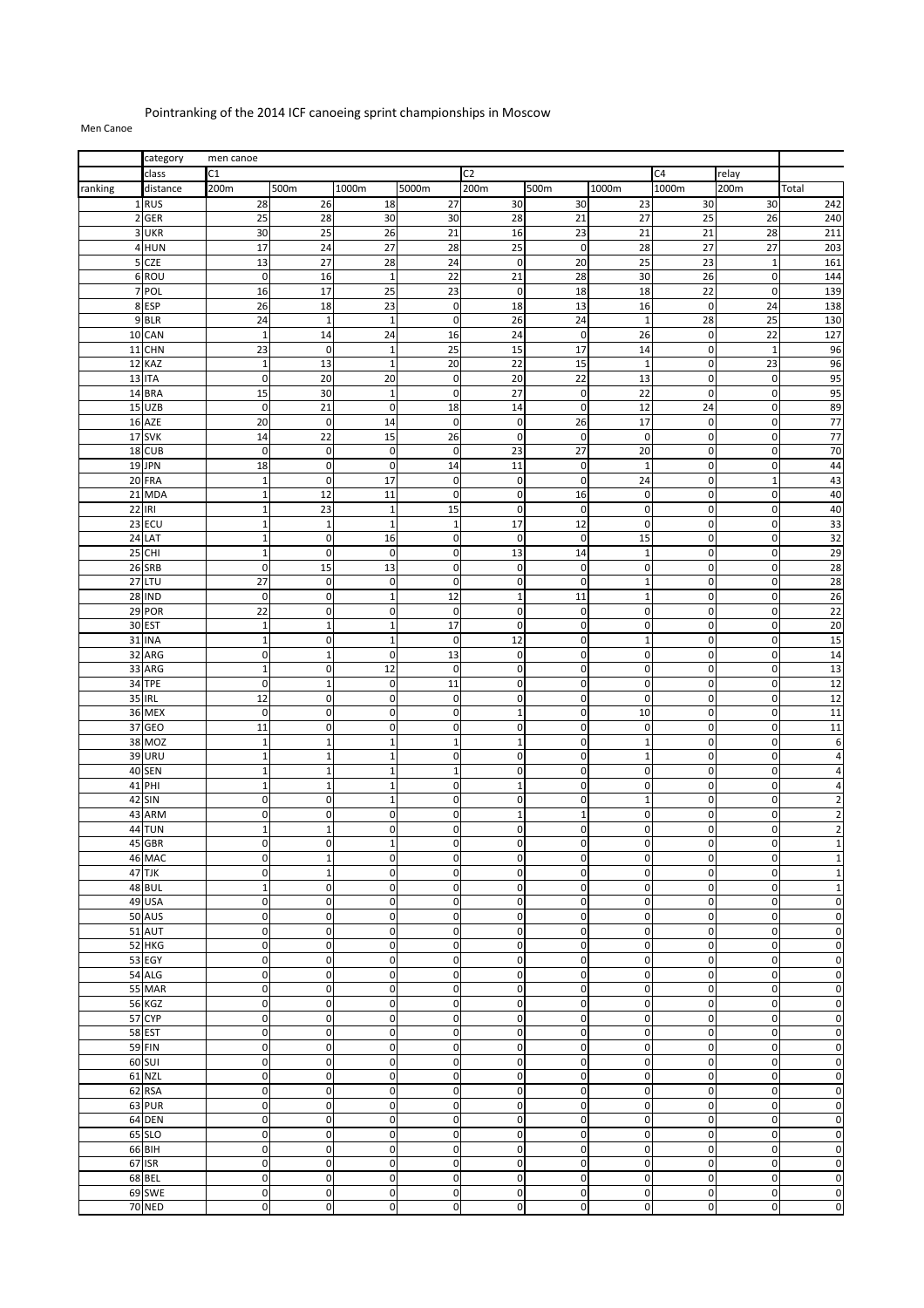## Pointranking of the 2014 ICF canoeing sprint championships in Moscow

## Men Canoe

|         | category                | men canoe                    |                           |                              |                            |                            |                            |                               |                             |                            |                         |
|---------|-------------------------|------------------------------|---------------------------|------------------------------|----------------------------|----------------------------|----------------------------|-------------------------------|-----------------------------|----------------------------|-------------------------|
|         | class                   | $\overline{C1}$              |                           |                              |                            | C2                         |                            |                               | C4                          | relay                      |                         |
| ranking | distance                | 200m                         | 500m                      | 1000m                        | 5000m                      | 200m                       | 500m                       | 1000m                         | 1000m                       | 200m                       | Total                   |
|         | 1RUS                    | 28                           | 26                        | 18                           | 27                         | 30                         | 30                         | 23                            | 30                          | 30                         | 242                     |
|         | 2 GER                   | 25                           | 28                        | 30                           | 30                         | 28                         | 21                         | 27                            | 25                          | 26                         | 240                     |
|         | 3 UKR                   | 30                           | 25                        | 26                           | 21                         | 16                         | 23                         | 21                            | 21                          | 28                         | 211                     |
|         | 4 HUN                   | 17                           | 24                        | 27                           | 28                         | 25                         | $\mathbf 0$                | 28                            | 27                          | 27                         | 203                     |
|         | 5 CZE                   | 13                           | $\overline{27}$           | 28                           | 24                         | $\pmb{0}$                  | 20                         | 25                            | 23                          | $\overline{1}$             | 161                     |
|         | 6ROU                    | $\mathbf 0$                  | 16                        | $\mathbf{1}$                 | 22                         | 21                         | 28                         | 30                            | 26                          | $\mathbf 0$                | 144                     |
|         | 7 POL                   | 16                           | 17                        | 25                           | 23                         | $\pmb{0}$                  | 18                         | 18                            | 22                          | $\mathbf 0$                | 139                     |
|         | 8 ESP                   | 26                           | 18                        | 23                           | $\pmb{0}$                  | 18                         | 13                         | 16                            | $\mathbf 0$                 | 24                         | 138                     |
|         | 9 BLR                   | $\overline{24}$              | $\mathbf{1}$              | $\mathbf{1}$                 | $\pmb{0}$                  | 26                         | 24                         | $\mathbf 1$                   | 28                          | 25                         | 130                     |
|         | 10 CAN                  | $\mathbf{1}$                 | 14                        | 24                           | 16                         | 24                         | $\mathbf 0$                | 26                            | $\mathbf 0$                 | 22                         | 127                     |
|         | 11 CHN<br>12 KAZ        | 23<br>$\mathbf{1}$           | $\mathbf 0$<br>13         | $\mathbf{1}$<br>$\mathbf{1}$ | 25<br>20                   | 15<br>22                   | 17<br>15                   | 14<br>$\mathbf{1}$            | $\mathbf 0$<br>$\mathbf 0$  | $\overline{1}$<br>23       | 96<br>96                |
|         | 13 ITA                  | $\mathbf 0$                  | 20                        | 20                           | $\pmb{0}$                  | 20                         | 22                         | 13                            | $\mathbf 0$                 | $\mathbf 0$                | 95                      |
|         | 14 BRA                  | 15                           | 30                        | $\mathbf{1}$                 | $\pmb{0}$                  | 27                         | $\mathbf 0$                | $\overline{22}$               | $\mathbf 0$                 | $\mathbf 0$                | 95                      |
|         | 15 UZB                  | $\mathbf 0$                  | 21                        | $\mathbf 0$                  | 18                         | 14                         | $\mathbf 0$                | 12                            | 24                          | $\mathbf 0$                | 89                      |
|         | 16 AZE                  | 20                           | $\pmb{0}$                 | 14                           | $\mathbf 0$                | $\mathbf 0$                | 26                         | 17                            | $\mathbf{0}$                | $\mathbf 0$                | 77                      |
|         | 17 SVK                  | 14                           | 22                        | 15                           | 26                         | $\pmb{0}$                  | $\mathbf 0$                | $\mathbf 0$                   | $\mathbf 0$                 | 0                          | 77                      |
|         | 18 CUB                  | $\mathbf 0$                  | $\mathbf 0$               | $\mathbf 0$                  | $\mathbf 0$                | 23                         | 27                         | 20                            | $\pmb{0}$                   | 0                          | 70                      |
|         | 19 JPN                  | 18                           | $\mathbf 0$               | $\mathbf 0$                  | 14                         | 11                         | $\mathbf 0$                | $\mathbf{1}$                  | $\mathbf 0$                 | $\mathbf 0$                | 44                      |
|         | 20 FRA                  | $\mathbf{1}$                 | $\mathbf 0$               | 17                           | $\mathbf 0$                | $\mathbf 0$                | $\mathbf 0$                | 24                            | $\mathbf 0$                 | $\mathbf{1}$               | 43                      |
|         | 21 MDA                  | $\mathbf{1}$                 | 12                        | 11                           | $\mathbf 0$                | $\mathbf 0$                | 16                         | $\mathbf 0$                   | $\mathbf 0$                 | $\mathbf 0$                | 40                      |
|         | 22 IRI                  | $\mathbf{1}$                 | 23                        | $\mathbf{1}$                 | 15                         | $\mathbf 0$                | $\mathbf 0$                | $\mathbf 0$                   | $\mathbf 0$                 | 0                          | 40                      |
|         | 23 ECU                  | $\mathbf{1}$                 | $\mathbf 1$               | $\mathbf{1}$                 | $\mathbf 1$                | 17                         | 12                         | $\mathbf 0$                   | $\mathbf 0$                 | $\mathbf 0$                | 33                      |
|         | 24 LAT                  | $\mathbf{1}$                 | $\mathbf 0$               | 16                           | $\pmb{0}$                  | $\pmb{0}$                  | $\mathbf 0$                | 15                            | $\mathbf 0$                 | $\mathbf 0$                | 32                      |
|         | 25 CHI                  | $\mathbf{1}$                 | $\pmb{0}$                 | $\mathbf 0$                  | $\pmb{0}$                  | 13                         | 14                         | $\mathbf 1$                   | $\mathbf 0$                 | $\mathbf 0$                | 29                      |
|         | 26 SRB                  | $\mathbf 0$                  | 15                        | 13                           | $\pmb{0}$                  | 0                          | $\mathbf 0$                | $\pmb{0}$                     | $\mathbf 0$                 | 0                          | 28                      |
|         | 27 LTU                  | 27                           | $\pmb{0}$                 | $\mathbf 0$                  | $\pmb{0}$                  | $\mathbf 0$                | $\mathbf{0}$               | $\mathbf{1}$                  | $\mathbf 0$                 | $\mathbf 0$                | 28                      |
|         | <b>28 IND</b>           | $\mathbf 0$                  | $\mathbf 0$               | $\mathbf{1}$                 | 12                         | $\mathbf 1$                | 11                         | $\mathbf 1$                   | $\mathbf{0}$                | $\mathbf 0$                | 26                      |
|         | 29 POR                  | 22                           | $\mathbf 0$               | $\mathbf 0$                  | $\mathbf 0$                | $\mathbf 0$                | $\mathbf{0}$               | $\mathbf 0$                   | $\mathbf 0$                 | $\mathbf 0$                | 22                      |
|         | 30 EST                  | $\mathbf{1}$<br>$\mathbf{1}$ | $\mathbf{1}$<br>$\pmb{0}$ | $\mathbf{1}$                 | 17<br>$\mathbf 0$          | $\mathbf 0$<br>12          | $\mathbf 0$<br>$\mathbf 0$ | $\mathbf 0$<br>$\mathbf 1$    | $\mathbf 0$<br>$\mathbf 0$  | $\mathbf 0$<br>$\mathbf 0$ | 20                      |
|         | 31 INA<br>32 ARG        | $\mathbf{0}$                 | $\mathbf{1}$              | $\mathbf{1}$<br>$\mathbf 0$  | 13                         | $\pmb{0}$                  | $\mathbf 0$                | $\mathbf 0$                   | $\mathbf{0}$                | $\mathbf 0$                | 15<br>14                |
|         | 33 ARG                  | $\mathbf{1}$                 | $\pmb{0}$                 | 12                           | $\mathbf 0$                | $\pmb{0}$                  | $\mathbf 0$                | $\pmb{0}$                     | $\mathbf 0$                 | $\pmb{0}$                  | 13                      |
|         | 34 TPE                  | $\mathbf 0$                  | $\mathbf{1}$              | $\mathbf 0$                  | 11                         | $\pmb{0}$                  | $\mathbf 0$                | $\mathbf 0$                   | $\pmb{0}$                   | $\mathbf 0$                | 12                      |
|         | 35 IRL                  | 12                           | $\pmb{0}$                 | $\mathbf 0$                  | 0                          | $\pmb{0}$                  | $\mathbf 0$                | $\mathbf 0$                   | $\pmb{0}$                   | 0                          | 12                      |
|         | 36 MEX                  | $\mathbf 0$                  | $\mathbf 0$               | $\mathbf 0$                  | $\mathbf 0$                | $\overline{1}$             | $\mathbf 0$                | 10                            | $\mathbf 0$                 | $\overline{0}$             | 11                      |
|         | 37 GEO                  | 11                           | $\mathbf 0$               | $\mathbf 0$                  | 0                          | 0                          | $\mathbf 0$                | $\mathbf 0$                   | $\mathbf 0$                 | 0                          | 11                      |
|         | 38 MOZ                  | $\mathbf{1}$                 | $\mathbf{1}$              | $\mathbf{1}$                 | $\mathbf 1$                | $\mathbf 1$                | $\mathbf 0$                | $\mathbf 1$                   | $\mathbf 0$                 | $\mathbf 0$                | 6                       |
|         | <b>39 URU</b>           | $\mathbf{1}$                 | $\mathbf 1$               | $\mathbf{1}$                 | $\pmb{0}$                  | $\mathbf 0$                | $\mathbf 0$                | $\mathbf{1}$                  | $\mathbf 0$                 | $\mathbf 0$                | $\overline{4}$          |
|         | 40 SEN                  | $\mathbf{1}$                 | $\mathbf 1$               | $\mathbf{1}$                 | $\mathbf 1$                | $\mathbf 0$                | $\mathbf 0$                | $\pmb{0}$                     | $\mathbf 0$                 | $\mathbf 0$                | $\overline{\mathbf{4}}$ |
|         | 41 PHI                  | $\mathbf{1}$                 | $\mathbf 1$               | $\mathbf{1}$                 | 0                          | $\mathbf{1}$               | $\mathbf{0}$               | $\mathbf 0$                   | $\mathbf{0}$                | 0                          | $\overline{\mathbf{4}}$ |
|         | 42 SIN                  | $\mathbf 0$                  | $\pmb{0}$                 | $\mathbf{1}$                 | 0                          | $\pmb{0}$                  | $\mathbf 0$                | $\mathbf{1}$                  | $\mathbf 0$                 | 0                          | $\mathbf 2$             |
|         | 43 ARM                  | $\mathbf 0$                  | $\mathbf 0$               | $\mathbf 0$                  | $\mathbf 0$                | $\overline{1}$             | $\mathbf 1$                | $\mathbf 0$                   | $\mathbf 0$                 | 0                          | $\mathbf 2$             |
|         | 44 TUN                  | $\mathbf{1}$                 | $\mathbf{1}$              | $\mathbf 0$                  | 0                          | 0                          | $\mathbf 0$                | $\pmb{0}$                     | $\mathbf 0$                 | 0                          | $\overline{2}$          |
|         | 45 GBR<br>46 MAC        | υ<br>$\mathbf 0$             | $\pmb{0}$<br>$\mathbf{1}$ | <b>T</b><br>$\mathbf 0$      | υ<br>$\mathbf 0$           | υ<br>$\mathbf 0$           | U<br>$\mathbf 0$           | $\pmb{0}$<br>$\mathbf 0$      | υ<br>$\mathbf{0}$           | υ<br>$\mathbf 0$           | $\mathbf{1}$            |
|         | $47$ TJK                | $\mathbf 0$                  | $\mathbf 1$               | $\mathbf 0$                  |                            | $\mathbf{0}$               | $\mathbf 0$                | $\mathbf 0$                   | $\mathbf 0$                 | $\mathbf 0$                | $\mathbf 1$             |
|         | 48 BUL                  | $\mathbf 1$                  | $\mathbf 0$               | $\mathbf 0$                  | $\mathbf 0$<br>$\mathbf 0$ | $\mathbf 0$                | $\mathbf 0$                | $\mathbf 0$                   | $\mathbf 0$                 | $\overline{0}$             | $\mathbf 1$             |
|         | 49 USA                  | $\mathbf 0$                  | $\pmb{0}$                 | $\mathbf 0$                  | $\mathbf 0$                | 0                          | $\mathbf 0$                | $\mathbf 0$                   | $\mathbf 0$                 | 0                          | $\pmb{0}$               |
|         | <b>50 AUS</b>           | $\mathbf 0$                  | $\pmb{0}$                 | $\mathbf 0$                  | 0                          | $\mathbf 0$                | $\mathbf 0$                | $\mathbf 0$                   | $\mathbf 0$                 | $\pmb{0}$                  | $\pmb{0}$               |
|         | 51 AUT                  | $\mathbf 0$                  | $\pmb{0}$                 | $\pmb{0}$                    | $\pmb{0}$                  | $\pmb{0}$                  | $\boldsymbol{0}$           | $\mathbf 0$                   | $\mathbf 0$                 | $\pmb{0}$                  | $\pmb{0}$               |
|         | 52 HKG                  | $\mathbf 0$                  | $\pmb{0}$                 | $\mathbf 0$                  | $\pmb{0}$                  | $\mathbf 0$                | $\mathbf 0$                | $\pmb{0}$                     | $\mathbf 0$                 | $\mathbf 0$                | $\pmb{0}$               |
|         | 53 EGY                  | $\mathbf 0$                  | $\pmb{0}$                 | $\mathbf 0$                  | $\mathbf 0$                | $\mathbf 0$                | $\pmb{0}$                  | $\mathbf 0$                   | $\mathbf{0}$                | $\mathbf 0$                | $\pmb{0}$               |
|         | 54 ALG                  | $\mathbf 0$                  | $\pmb{0}$                 | $\mathbf 0$                  | $\pmb{0}$                  | $\mathbf 0$                | $\mathbf 0$                | $\mathbf 0$                   | $\mathbf 0$                 | $\mathbf 0$                | $\pmb{0}$               |
|         | 55 MAR                  | $\mathbf 0$                  | $\mathbf 0$               | $\pmb{0}$                    | $\mathbf 0$                | $\mathbf 0$                | $\mathbf 0$                | $\mathbf 0$                   | $\mathbf 0$                 | $\mathbf 0$                | $\pmb{0}$               |
|         | <b>56 KGZ</b>           | $\mathbf 0$                  | $\pmb{0}$                 | $\mathbf 0$                  | $\pmb{0}$                  | $\mathbf 0$                | $\mathbf 0$                | $\mathbf 0$                   | $\mathbf 0$                 | $\pmb{0}$                  | $\pmb{0}$               |
|         | 57 CYP                  | $\mathbf 0$                  | $\pmb{0}$                 | $\mathbf 0$                  | $\mathbf 0$                | $\mathbf 0$                | $\overline{0}$             | $\mathbf 0$                   | $\mathbf 0$                 | $\mathbf 0$                | $\pmb{0}$               |
|         | 58 EST                  | $\mathbf 0$                  | $\pmb{0}$                 | $\mathbf 0$                  | $\mathbf 0$                | $\pmb{0}$                  | $\mathbf 0$                | $\mathbf 0$                   | $\mathbf 0$                 | $\pmb{0}$                  | $\pmb{0}$               |
|         | 59 FIN                  | $\mathbf 0$                  | $\pmb{0}$                 | $\mathbf 0$                  | $\pmb{0}$                  | $\pmb{0}$                  | $\mathbf 0$                | $\mathbf 0$                   | $\mathbf 0$                 | $\mathbf 0$                | $\pmb{0}$               |
|         | 60 SUI                  | $\mathbf 0$                  | $\pmb{0}$                 | $\mathbf 0$                  | $\pmb{0}$                  | $\pmb{0}$                  | $\mathbf 0$                | $\mathbf 0$                   | $\mathbf 0$                 | $\pmb{0}$                  | $\pmb{0}$               |
|         | 61 NZL                  | $\mathbf 0$                  | $\pmb{0}$                 | $\mathbf 0$                  | $\pmb{0}$                  | $\mathbf 0$                | $\mathbf 0$                | $\mathbf 0$                   | $\mathbf 0$                 | $\mathbf 0$                | $\pmb{0}$               |
|         | 62 RSA                  | $\mathbf 0$<br>$\mathbf 0$   | $\mathbf 0$<br>$\pmb{0}$  | $\mathbf 0$                  | $\mathbf 0$                | $\mathbf 0$<br>$\mathbf 0$ | $\mathbf 0$<br>$\mathbf 0$ | $\mathbf 0$<br>$\overline{0}$ | $\mathbf 0$<br>$\mathbf{0}$ | $\mathbf 0$<br>$\mathbf 0$ | $\pmb{0}$<br>$\pmb{0}$  |
|         | 63 PUR<br><b>64 DEN</b> | $\mathbf 0$                  | $\mathbf 0$               | $\mathbf 0$<br>$\mathbf 0$   | $\pmb{0}$<br>$\mathbf 0$   | $\mathbf 0$                | $\mathbf 0$                | $\mathbf 0$                   | $\mathbf 0$                 | $\mathbf 0$                | $\pmb{0}$               |
|         | 65 SLO                  | $\mathbf 0$                  | $\boldsymbol{0}$          | $\mathbf 0$                  | $\mathbf 0$                | $\mathbf{0}$               | $\mathbf 0$                | $\mathbf 0$                   | $\mathbf{0}$                | $\pmb{0}$                  | $\pmb{0}$               |
|         | 66 BIH                  | $\mathbf 0$                  | $\pmb{0}$                 | $\mathbf 0$                  | $\mathbf 0$                | $\mathbf 0$                | $\mathbf{0}$               | $\mathbf 0$                   | $\mathbf 0$                 | $\pmb{0}$                  | $\pmb{0}$               |
|         | 67 ISR                  | $\mathbf 0$                  | $\pmb{0}$                 | $\pmb{0}$                    | $\pmb{0}$                  | $\pmb{0}$                  | $\mathbf 0$                | $\mathbf 0$                   | $\mathbf 0$                 | $\pmb{0}$                  | $\pmb{0}$               |
|         | 68 BEL                  | $\mathbf 0$                  | $\pmb{0}$                 | $\mathbf 0$                  | $\pmb{0}$                  | $\mathbf 0$                | $\mathbf 0$                | $\mathbf 0$                   | $\mathbf 0$                 | $\mathbf 0$                | $\pmb{0}$               |
|         | 69 SWE                  | $\mathbf 0$                  | $\pmb{0}$                 | $\mathbf 0$                  | $\pmb{0}$                  | $\mathbf 0$                | $\mathbf 0$                | $\mathbf 0$                   | $\mathbf 0$                 | $\pmb{0}$                  | $\pmb{0}$               |
|         | <b>70 NED</b>           | $\mathbf 0$                  | $\pmb{0}$                 | 0                            | $\pmb{0}$                  | $\pmb{0}$                  | $\boldsymbol{0}$           | $\boldsymbol{0}$              | $\mathbf 0$                 | $\pmb{0}$                  | $\mathbf 0$             |